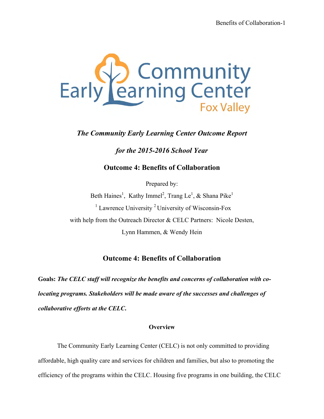

# *The Community Early Learning Center Outcome Report*

## *for the 2015-2016 School Year*

### **Outcome 4: Benefits of Collaboration**

Prepared by:

Beth Haines<sup>1</sup>, Kathy Immel<sup>2</sup>, Trang Le<sup>1</sup>, & Shana Pike<sup>1</sup>  $1$  Lawrence University  $2$  University of Wisconsin-Fox with help from the Outreach Director & CELC Partners: Nicole Desten, Lynn Hammen, & Wendy Hein

## **Outcome 4: Benefits of Collaboration**

**Goals:** *The CELC staff will recognize the benefits and concerns of collaboration with colocating programs. Stakeholders will be made aware of the successes and challenges of collaborative efforts at the CELC***.**

#### **Overview**

The Community Early Learning Center (CELC) is not only committed to providing affordable, high quality care and services for children and families, but also to promoting the efficiency of the programs within the CELC. Housing five programs in one building, the CELC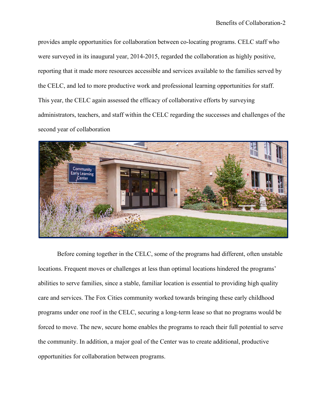provides ample opportunities for collaboration between co-locating programs. CELC staff who were surveyed in its inaugural year, 2014-2015, regarded the collaboration as highly positive, reporting that it made more resources accessible and services available to the families served by the CELC, and led to more productive work and professional learning opportunities for staff. This year, the CELC again assessed the efficacy of collaborative efforts by surveying administrators, teachers, and staff within the CELC regarding the successes and challenges of the second year of collaboration



Before coming together in the CELC, some of the programs had different, often unstable locations. Frequent moves or challenges at less than optimal locations hindered the programs' abilities to serve families, since a stable, familiar location is essential to providing high quality care and services. The Fox Cities community worked towards bringing these early childhood programs under one roof in the CELC, securing a long-term lease so that no programs would be forced to move. The new, secure home enables the programs to reach their full potential to serve the community. In addition, a major goal of the Center was to create additional, productive opportunities for collaboration between programs.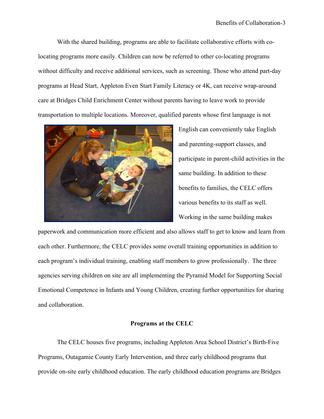With the shared building, programs are able to facilitate collaborative efforts with colocating programs more easily. Children can now be referred to other co-locating programs without difficulty and receive additional services, such as screening. Those who attend part-day programs at Head Start, Appleton Even Start Family Literacy or 4K, can receive wrap-around care at Bridges Child Enrichment Center without parents having to leave work to provide transportation to multiple locations. Moreover, qualified parents whose first language is not



English can conveniently take English and parenting-support classes, and participate in parent-child activities in the same building. In addition to these benefits to families, the CELC offers various benefits to its staff as well. Working in the same building makes

paperwork and communication more efficient and also allows staff to get to know and learn from each other. Furthermore, the CELC provides some overall training opportunities in addition to each program's individual training, enabling staff members to grow professionally. The three agencies serving children on site are all implementing the Pyramid Model for Supporting Social Emotional Competence in Infants and Young Children, creating further opportunities for sharing and collaboration.

#### **Programs at the CELC**

The CELC houses five programs, including Appleton Area School District's Birth-Five Programs, Outagamie County Early Intervention, and three early childhood programs that provide on-site early childhood education. The early childhood education programs are Bridges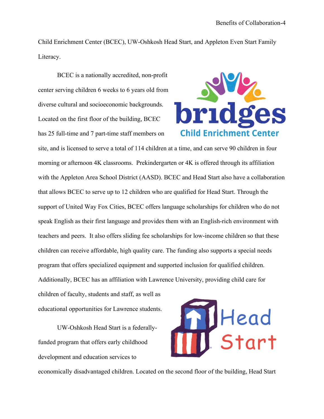Child Enrichment Center (BCEC), UW-Oshkosh Head Start, and Appleton Even Start Family Literacy.

BCEC is a nationally accredited, non-profit center serving children 6 weeks to 6 years old from diverse cultural and socioeconomic backgrounds. Located on the first floor of the building, BCEC has 25 full-time and 7 part-time staff members on



site, and is licensed to serve a total of 114 children at a time, and can serve 90 children in four morning or afternoon 4K classrooms. Prekindergarten or 4K is offered through its affiliation with the Appleton Area School District (AASD). BCEC and Head Start also have a collaboration that allows BCEC to serve up to 12 children who are qualified for Head Start. Through the support of United Way Fox Cities, BCEC offers language scholarships for children who do not speak English as their first language and provides them with an English-rich environment with teachers and peers. It also offers sliding fee scholarships for low-income children so that these children can receive affordable, high quality care. The funding also supports a special needs program that offers specialized equipment and supported inclusion for qualified children. Additionally, BCEC has an affiliation with Lawrence University, providing child care for children of faculty, students and staff, as well as

educational opportunities for Lawrence students.

UW-Oshkosh Head Start is a federallyfunded program that offers early childhood development and education services to



economically disadvantaged children. Located on the second floor of the building, Head Start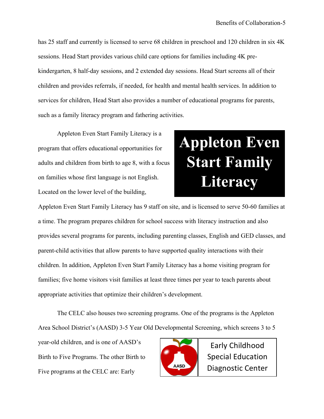has 25 staff and currently is licensed to serve 68 children in preschool and 120 children in six 4K sessions. Head Start provides various child care options for families including 4K prekindergarten, 8 half-day sessions, and 2 extended day sessions. Head Start screens all of their children and provides referrals, if needed, for health and mental health services. In addition to services for children, Head Start also provides a number of educational programs for parents, such as a family literacy program and fathering activities.

Appleton Even Start Family Literacy is a program that offers educational opportunities for adults and children from birth to age 8, with a focus on families whose first language is not English. Located on the lower level of the building,

# **Appleton Even Start Family Literacy**

Appleton Even Start Family Literacy has 9 staff on site, and is licensed to serve 50-60 families at a time. The program prepares children for school success with literacy instruction and also provides several programs for parents, including parenting classes, English and GED classes, and parent-child activities that allow parents to have supported quality interactions with their children. In addition, Appleton Even Start Family Literacy has a home visiting program for families; five home visitors visit families at least three times per year to teach parents about appropriate activities that optimize their children's development.

The CELC also houses two screening programs. One of the programs is the Appleton Area School District's (AASD) 3-5 Year Old Developmental Screening, which screens 3 to 5

year-old children, and is one of AASD's Birth to Five Programs. The other Birth to Five programs at the CELC are: Early



Early Childhood Special Education Diagnostic Center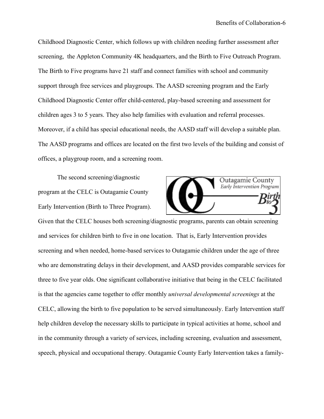Childhood Diagnostic Center, which follows up with children needing further assessment after screening, the Appleton Community 4K headquarters, and the Birth to Five Outreach Program. The Birth to Five programs have 21 staff and connect families with school and community support through free services and playgroups. The AASD screening program and the Early Childhood Diagnostic Center offer child-centered, play-based screening and assessment for children ages 3 to 5 years. They also help families with evaluation and referral processes. Moreover, if a child has special educational needs, the AASD staff will develop a suitable plan. The AASD programs and offices are located on the first two levels of the building and consist of offices, a playgroup room, and a screening room.

The second screening/diagnostic program at the CELC is Outagamie County Early Intervention (Birth to Three Program).



Given that the CELC houses both screening/diagnostic programs, parents can obtain screening and services for children birth to five in one location. That is, Early Intervention provides screening and when needed, home-based services to Outagamie children under the age of three who are demonstrating delays in their development, and AASD provides comparable services for three to five year olds. One significant collaborative initiative that being in the CELC facilitated is that the agencies came together to offer monthly *universal developmental screenings* at the CELC, allowing the birth to five population to be served simultaneously. Early Intervention staff help children develop the necessary skills to participate in typical activities at home, school and in the community through a variety of services, including screening, evaluation and assessment, speech, physical and occupational therapy. Outagamie County Early Intervention takes a family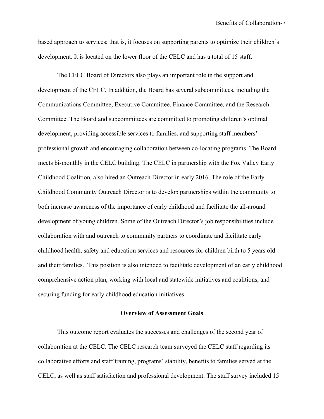based approach to services; that is, it focuses on supporting parents to optimize their children's development. It is located on the lower floor of the CELC and has a total of 15 staff.

The CELC Board of Directors also plays an important role in the support and development of the CELC. In addition, the Board has several subcommittees, including the Communications Committee, Executive Committee, Finance Committee, and the Research Committee. The Board and subcommittees are committed to promoting children's optimal development, providing accessible services to families, and supporting staff members' professional growth and encouraging collaboration between co-locating programs. The Board meets bi-monthly in the CELC building. The CELC in partnership with the Fox Valley Early Childhood Coalition, also hired an Outreach Director in early 2016. The role of the Early Childhood Community Outreach Director is to develop partnerships within the community to both increase awareness of the importance of early childhood and facilitate the all-around development of young children. Some of the Outreach Director's job responsibilities include collaboration with and outreach to community partners to coordinate and facilitate early childhood health, safety and education services and resources for children birth to 5 years old and their families. This position is also intended to facilitate development of an early childhood comprehensive action plan, working with local and statewide initiatives and coalitions, and securing funding for early childhood education initiatives.

#### **Overview of Assessment Goals**

This outcome report evaluates the successes and challenges of the second year of collaboration at the CELC. The CELC research team surveyed the CELC staff regarding its collaborative efforts and staff training, programs' stability, benefits to families served at the CELC, as well as staff satisfaction and professional development. The staff survey included 15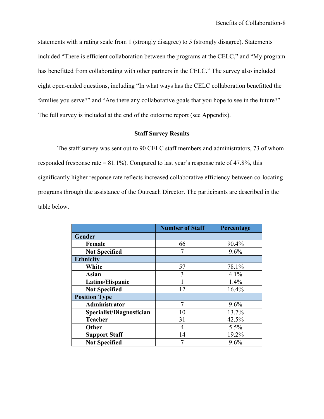statements with a rating scale from 1 (strongly disagree) to 5 (strongly disagree). Statements included "There is efficient collaboration between the programs at the CELC," and "My program has benefitted from collaborating with other partners in the CELC." The survey also included eight open-ended questions, including "In what ways has the CELC collaboration benefitted the families you serve?" and "Are there any collaborative goals that you hope to see in the future?" The full survey is included at the end of the outcome report (see Appendix).

#### **Staff Survey Results**

The staff survey was sent out to 90 CELC staff members and administrators, 73 of whom responded (response rate  $= 81.1\%$ ). Compared to last year's response rate of 47.8%, this significantly higher response rate reflects increased collaborative efficiency between co-locating programs through the assistance of the Outreach Director. The participants are described in the table below.

|                          | <b>Number of Staff</b> | Percentage |
|--------------------------|------------------------|------------|
| Gender                   |                        |            |
| Female                   | 66                     | 90.4%      |
| <b>Not Specified</b>     | 7                      | 9.6%       |
| <b>Ethnicity</b>         |                        |            |
| White                    | 57                     | 78.1%      |
| <b>Asian</b>             | 3                      | 4.1%       |
| Latino/Hispanic          |                        | 1.4%       |
| <b>Not Specified</b>     | 12                     | 16.4%      |
| <b>Position Type</b>     |                        |            |
| Administrator            | 7                      | 9.6%       |
| Specialist/Diagnostician | 10                     | 13.7%      |
| <b>Teacher</b>           | 31                     | 42.5%      |
| Other                    | 4                      | 5.5%       |
| <b>Support Staff</b>     | 14                     | 19.2%      |
| <b>Not Specified</b>     | 7                      | 9.6%       |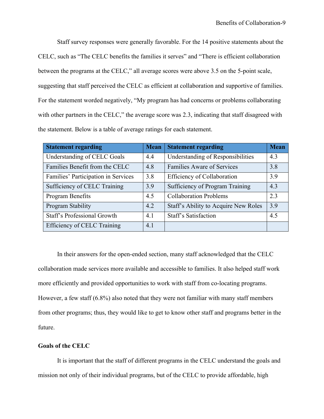Staff survey responses were generally favorable. For the 14 positive statements about the CELC, such as "The CELC benefits the families it serves" and "There is efficient collaboration between the programs at the CELC," all average scores were above 3.5 on the 5-point scale, suggesting that staff perceived the CELC as efficient at collaboration and supportive of families. For the statement worded negatively, "My program has had concerns or problems collaborating with other partners in the CELC," the average score was 2.3, indicating that staff disagreed with the statement. Below is a table of average ratings for each statement.

| <b>Statement regarding</b>          | <b>Mean</b> | <b>Statement regarding</b>                  | <b>Mean</b> |
|-------------------------------------|-------------|---------------------------------------------|-------------|
| Understanding of CELC Goals         | 4.4         | Understanding of Responsibilities           | 4.3         |
| Families Benefit from the CELC      | 4.8         | <b>Families Aware of Services</b>           | 3.8         |
| Families' Participation in Services | 3.8         | <b>Efficiency of Collaboration</b>          | 3.9         |
| Sufficiency of CELC Training        | 3.9         | Sufficiency of Program Training             | 4.3         |
| Program Benefits                    | 4.5         | <b>Collaboration Problems</b>               | 2.3         |
| Program Stability                   | 4.2         | <b>Staff's Ability to Acquire New Roles</b> | 3.9         |
| Staff's Professional Growth         | 4.1         | Staff's Satisfaction                        | 4.5         |
| Efficiency of CELC Training         | 4.1         |                                             |             |

In their answers for the open-ended section, many staff acknowledged that the CELC collaboration made services more available and accessible to families. It also helped staff work more efficiently and provided opportunities to work with staff from co-locating programs. However, a few staff (6.8%) also noted that they were not familiar with many staff members from other programs; thus, they would like to get to know other staff and programs better in the future.

#### **Goals of the CELC**

It is important that the staff of different programs in the CELC understand the goals and mission not only of their individual programs, but of the CELC to provide affordable, high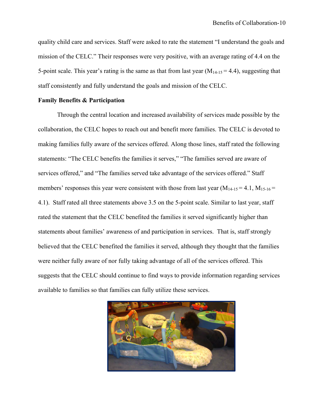quality child care and services. Staff were asked to rate the statement "I understand the goals and mission of the CELC." Their responses were very positive, with an average rating of 4.4 on the 5-point scale. This year's rating is the same as that from last year  $(M_{14-15} = 4.4)$ , suggesting that staff consistently and fully understand the goals and mission of the CELC.

#### **Family Benefits & Participation**

Through the central location and increased availability of services made possible by the collaboration, the CELC hopes to reach out and benefit more families. The CELC is devoted to making families fully aware of the services offered. Along those lines, staff rated the following statements: "The CELC benefits the families it serves," "The families served are aware of services offered," and "The families served take advantage of the services offered." Staff members' responses this year were consistent with those from last year  $(M_{14-15} = 4.1, M_{15-16} =$ 4.1). Staff rated all three statements above 3.5 on the 5-point scale. Similar to last year, staff rated the statement that the CELC benefited the families it served significantly higher than statements about families' awareness of and participation in services. That is, staff strongly believed that the CELC benefited the families it served, although they thought that the families were neither fully aware of nor fully taking advantage of all of the services offered. This suggests that the CELC should continue to find ways to provide information regarding services available to families so that families can fully utilize these services.

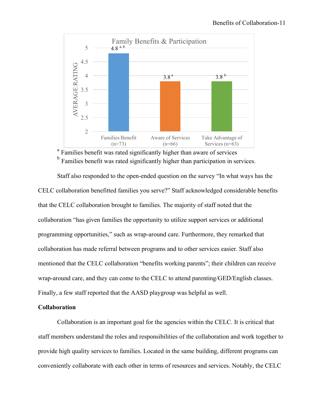

<sup>a</sup> Families benefit was rated significantly higher than aware of services <sup>b</sup> Families benefit was rated significantly higher than participation in services.

Staff also responded to the open-ended question on the survey "In what ways has the CELC collaboration benefitted families you serve?" Staff acknowledged considerable benefits that the CELC collaboration brought to families. The majority of staff noted that the collaboration "has given families the opportunity to utilize support services or additional programming opportunities," such as wrap-around care. Furthermore, they remarked that collaboration has made referral between programs and to other services easier. Staff also mentioned that the CELC collaboration "benefits working parents"; their children can receive wrap-around care, and they can come to the CELC to attend parenting/GED/English classes. Finally, a few staff reported that the AASD playgroup was helpful as well.

#### **Collaboration**

Collaboration is an important goal for the agencies within the CELC. It is critical that staff members understand the roles and responsibilities of the collaboration and work together to provide high quality services to families. Located in the same building, different programs can conveniently collaborate with each other in terms of resources and services. Notably, the CELC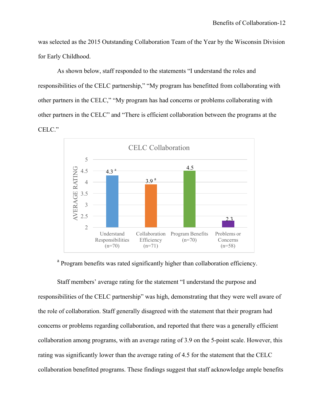was selected as the 2015 Outstanding Collaboration Team of the Year by the Wisconsin Division for Early Childhood.

As shown below, staff responded to the statements "I understand the roles and responsibilities of the CELC partnership," "My program has benefitted from collaborating with other partners in the CELC," "My program has had concerns or problems collaborating with other partners in the CELC" and "There is efficient collaboration between the programs at the CELC."



<sup>a</sup> Program benefits was rated significantly higher than collaboration efficiency.

Staff members' average rating for the statement "I understand the purpose and responsibilities of the CELC partnership" was high, demonstrating that they were well aware of the role of collaboration. Staff generally disagreed with the statement that their program had concerns or problems regarding collaboration, and reported that there was a generally efficient collaboration among programs, with an average rating of 3.9 on the 5-point scale. However, this rating was significantly lower than the average rating of 4.5 for the statement that the CELC collaboration benefitted programs. These findings suggest that staff acknowledge ample benefits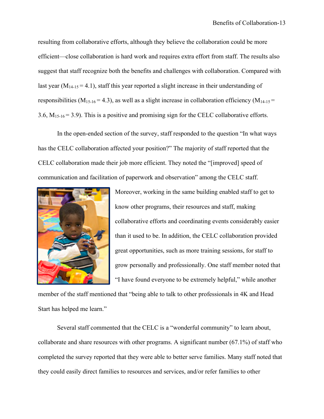resulting from collaborative efforts, although they believe the collaboration could be more efficient—close collaboration is hard work and requires extra effort from staff. The results also suggest that staff recognize both the benefits and challenges with collaboration. Compared with last year  $(M_{14-15} = 4.1)$ , staff this year reported a slight increase in their understanding of responsibilities ( $M_{15-16} = 4.3$ ), as well as a slight increase in collaboration efficiency ( $M_{14-15} =$ 3.6,  $M_{15-16} = 3.9$ ). This is a positive and promising sign for the CELC collaborative efforts.

In the open-ended section of the survey, staff responded to the question "In what ways has the CELC collaboration affected your position?" The majority of staff reported that the CELC collaboration made their job more efficient. They noted the "[improved] speed of communication and facilitation of paperwork and observation" among the CELC staff.



Moreover, working in the same building enabled staff to get to know other programs, their resources and staff, making collaborative efforts and coordinating events considerably easier than it used to be. In addition, the CELC collaboration provided great opportunities, such as more training sessions, for staff to grow personally and professionally. One staff member noted that "I have found everyone to be extremely helpful," while another

member of the staff mentioned that "being able to talk to other professionals in 4K and Head Start has helped me learn."

Several staff commented that the CELC is a "wonderful community" to learn about, collaborate and share resources with other programs. A significant number  $(67.1\%)$  of staff who completed the survey reported that they were able to better serve families. Many staff noted that they could easily direct families to resources and services, and/or refer families to other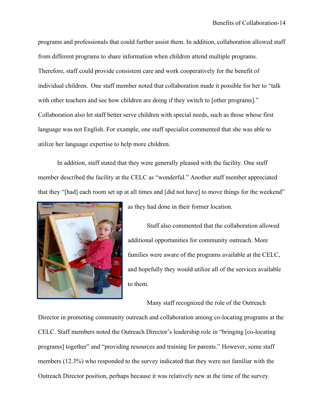programs and professionals that could further assist them. In addition, collaboration allowed staff from different programs to share information when children attend multiple programs. Therefore, staff could provide consistent care and work cooperatively for the benefit of individual children. One staff member noted that collaboration made it possible for her to "talk with other teachers and see how children are doing if they switch to [other programs]." Collaboration also let staff better serve children with special needs, such as those whose first language was not English. For example, one staff specialist commented that she was able to utilize her language expertise to help more children.

In addition, staff stated that they were generally pleased with the facility. One staff member described the facility at the CELC as "wonderful." Another staff member appreciated that they "[had] each room set up at all times and [did not have] to move things for the weekend"



as they had done in their former location.

Staff also commented that the collaboration allowed additional opportunities for community outreach. More families were aware of the programs available at the CELC, and hopefully they would utilize all of the services available to them.

Many staff recognized the role of the Outreach

Director in promoting community outreach and collaboration among co-locating programs at the CELC. Staff members noted the Outreach Director's leadership role in "bringing [co-locating programs] together" and "providing resources and training for parents." However, some staff members (12.3%) who responded to the survey indicated that they were not familiar with the Outreach Director position, perhaps because it was relatively new at the time of the survey.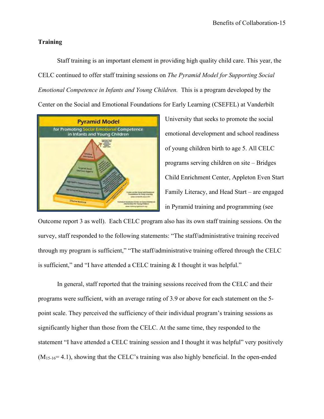#### **Training**

Staff training is an important element in providing high quality child care. This year, the CELC continued to offer staff training sessions on *The Pyramid Model for Supporting Social Emotional Competence in Infants and Young Children.* This is a program developed by the Center on the Social and Emotional Foundations for Early Learning (CSEFEL) at Vanderbilt



University that seeks to promote the social emotional development and school readiness of young children birth to age 5. All CELC programs serving children on site – Bridges Child Enrichment Center, Appleton Even Start Family Literacy, and Head Start – are engaged in Pyramid training and programming (see

Outcome report 3 as well). Each CELC program also has its own staff training sessions. On the survey, staff responded to the following statements: "The staff/administrative training received through my program is sufficient," "The staff/administrative training offered through the CELC is sufficient," and "I have attended a CELC training & I thought it was helpful."

In general, staff reported that the training sessions received from the CELC and their programs were sufficient, with an average rating of 3.9 or above for each statement on the 5 point scale. They perceived the sufficiency of their individual program's training sessions as significantly higher than those from the CELC. At the same time, they responded to the statement "I have attended a CELC training session and I thought it was helpful" very positively  $(M<sub>15-16</sub>= 4.1)$ , showing that the CELC's training was also highly beneficial. In the open-ended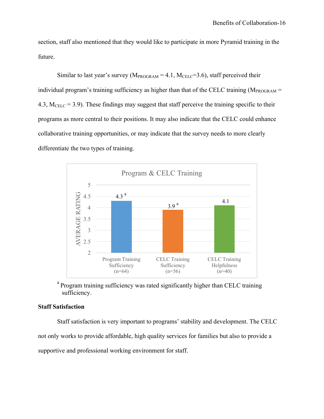section, staff also mentioned that they would like to participate in more Pyramid training in the future.

Similar to last year's survey ( $M_{PROGRAM} = 4.1$ ,  $M_{CELC} = 3.6$ ), staff perceived their individual program's training sufficiency as higher than that of the CELC training ( $M_{PROGRAM}$  = 4.3,  $M_{\text{CELC}}$  = 3.9). These findings may suggest that staff perceive the training specific to their programs as more central to their positions. It may also indicate that the CELC could enhance collaborative training opportunities, or may indicate that the survey needs to more clearly differentiate the two types of training.



<sup>a</sup> Program training sufficiency was rated significantly higher than CELC training sufficiency.

#### **Staff Satisfaction**

Staff satisfaction is very important to programs' stability and development. The CELC not only works to provide affordable, high quality services for families but also to provide a supportive and professional working environment for staff.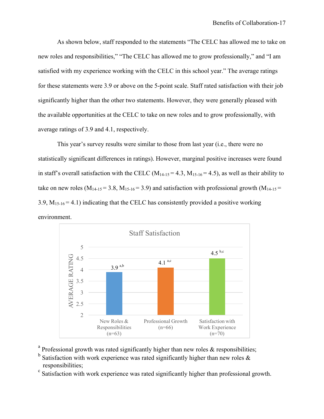As shown below, staff responded to the statements "The CELC has allowed me to take on new roles and responsibilities," "The CELC has allowed me to grow professionally," and "I am satisfied with my experience working with the CELC in this school year." The average ratings for these statements were 3.9 or above on the 5-point scale. Staff rated satisfaction with their job significantly higher than the other two statements. However, they were generally pleased with the available opportunities at the CELC to take on new roles and to grow professionally, with average ratings of 3.9 and 4.1, respectively.

This year's survey results were similar to those from last year (i.e., there were no statistically significant differences in ratings). However, marginal positive increases were found in staff's overall satisfaction with the CELC  $(M_{14-15} = 4.3, M_{15-16} = 4.5)$ , as well as their ability to take on new roles ( $M_{14-15} = 3.8$ ,  $M_{15-16} = 3.9$ ) and satisfaction with professional growth ( $M_{14-15} =$ 3.9,  $M_{15-16} = 4.1$ ) indicating that the CELC has consistently provided a positive working environment.



- <sup>a</sup> Professional growth was rated significantly higher than new roles  $\&$  responsibilities;
- $b$  Satisfaction with work experience was rated significantly higher than new roles  $\&$
- responsibilities;<br><sup>c</sup> Satisfaction with work experience was rated significantly higher than professional growth.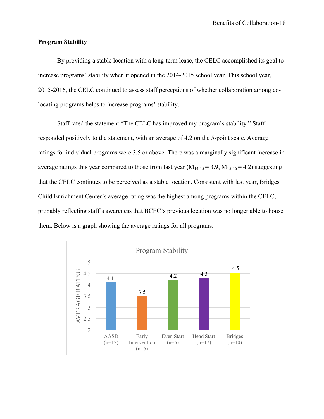#### **Program Stability**

By providing a stable location with a long-term lease, the CELC accomplished its goal to increase programs' stability when it opened in the 2014-2015 school year. This school year, 2015-2016, the CELC continued to assess staff perceptions of whether collaboration among colocating programs helps to increase programs' stability.

Staff rated the statement "The CELC has improved my program's stability." Staff responded positively to the statement, with an average of 4.2 on the 5-point scale. Average ratings for individual programs were 3.5 or above. There was a marginally significant increase in average ratings this year compared to those from last year  $(M_{14-15} = 3.9, M_{15-16} = 4.2)$  suggesting that the CELC continues to be perceived as a stable location. Consistent with last year, Bridges Child Enrichment Center's average rating was the highest among programs within the CELC, probably reflecting staff's awareness that BCEC's previous location was no longer able to house them. Below is a graph showing the average ratings for all programs.

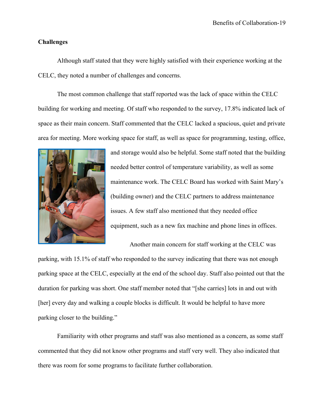#### **Challenges**

Although staff stated that they were highly satisfied with their experience working at the CELC, they noted a number of challenges and concerns.

The most common challenge that staff reported was the lack of space within the CELC building for working and meeting. Of staff who responded to the survey, 17.8% indicated lack of space as their main concern. Staff commented that the CELC lacked a spacious, quiet and private area for meeting. More working space for staff, as well as space for programming, testing, office,



and storage would also be helpful. Some staff noted that the building needed better control of temperature variability, as well as some maintenance work. The CELC Board has worked with Saint Mary's (building owner) and the CELC partners to address maintenance issues. A few staff also mentioned that they needed office equipment, such as a new fax machine and phone lines in offices.

Another main concern for staff working at the CELC was parking, with 15.1% of staff who responded to the survey indicating that there was not enough parking space at the CELC, especially at the end of the school day. Staff also pointed out that the duration for parking was short. One staff member noted that "[she carries] lots in and out with [her] every day and walking a couple blocks is difficult. It would be helpful to have more parking closer to the building."

Familiarity with other programs and staff was also mentioned as a concern, as some staff commented that they did not know other programs and staff very well. They also indicated that there was room for some programs to facilitate further collaboration.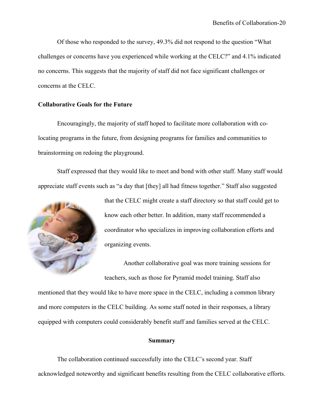Of those who responded to the survey, 49.3% did not respond to the question "What challenges or concerns have you experienced while working at the CELC?" and 4.1% indicated no concerns. This suggests that the majority of staff did not face significant challenges or concerns at the CELC.

#### **Collaborative Goals for the Future**

Encouragingly, the majority of staff hoped to facilitate more collaboration with colocating programs in the future, from designing programs for families and communities to brainstorming on redoing the playground.

Staff expressed that they would like to meet and bond with other staff. Many staff would appreciate staff events such as "a day that [they] all had fitness together." Staff also suggested



that the CELC might create a staff directory so that staff could get to know each other better. In addition, many staff recommended a coordinator who specializes in improving collaboration efforts and organizing events.

Another collaborative goal was more training sessions for teachers, such as those for Pyramid model training. Staff also

mentioned that they would like to have more space in the CELC, including a common library and more computers in the CELC building. As some staff noted in their responses, a library equipped with computers could considerably benefit staff and families served at the CELC.

#### **Summary**

The collaboration continued successfully into the CELC's second year. Staff acknowledged noteworthy and significant benefits resulting from the CELC collaborative efforts.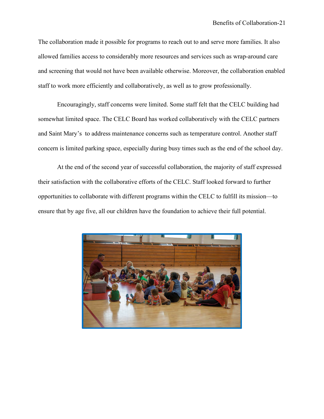The collaboration made it possible for programs to reach out to and serve more families. It also allowed families access to considerably more resources and services such as wrap-around care and screening that would not have been available otherwise. Moreover, the collaboration enabled staff to work more efficiently and collaboratively, as well as to grow professionally.

Encouragingly, staff concerns were limited. Some staff felt that the CELC building had somewhat limited space. The CELC Board has worked collaboratively with the CELC partners and Saint Mary's to address maintenance concerns such as temperature control. Another staff concern is limited parking space, especially during busy times such as the end of the school day.

At the end of the second year of successful collaboration, the majority of staff expressed their satisfaction with the collaborative efforts of the CELC. Staff looked forward to further opportunities to collaborate with different programs within the CELC to fulfill its mission—to ensure that by age five, all our children have the foundation to achieve their full potential.

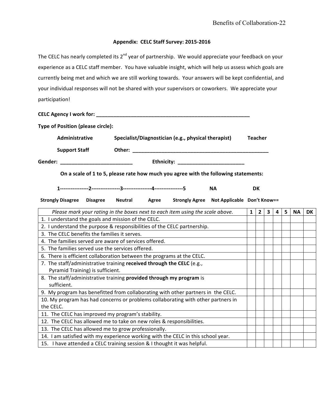# Appendix: CELC Staff Survey: 2015-2016

The CELC has nearly completed its  $2^{nd}$  year of partnership. We would appreciate your feedback on your experience as a CELC staff member. You have valuable insight, which will help us assess which goals are currently being met and which we are still working towards. Your answers will be kept confidential, and your individual responses will not be shared with your supervisors or coworkers. We appreciate your participation!

**CELC Agency I work for: \_\_\_\_\_\_\_\_\_\_\_\_\_\_\_\_\_\_\_\_\_\_\_\_\_\_\_\_\_\_\_\_\_\_\_\_\_\_\_\_\_\_\_\_\_\_\_\_\_\_\_\_\_**

| <b>Type of Position (please circle):</b>                                         |                 |                                                                            |           |                                                                               |  |                                                                                     |              |                |                         |   |   |           |    |
|----------------------------------------------------------------------------------|-----------------|----------------------------------------------------------------------------|-----------|-------------------------------------------------------------------------------|--|-------------------------------------------------------------------------------------|--------------|----------------|-------------------------|---|---|-----------|----|
| Administrative                                                                   |                 | Specialist/Diagnostician (e.g., physical therapist)<br>Other: ____________ |           |                                                                               |  | <b>Teacher</b>                                                                      |              |                |                         |   |   |           |    |
| <b>Support Staff</b>                                                             |                 |                                                                            |           |                                                                               |  |                                                                                     |              |                |                         |   |   |           |    |
| Gender:                                                                          |                 |                                                                            |           |                                                                               |  |                                                                                     |              |                |                         |   |   |           |    |
|                                                                                  |                 |                                                                            |           |                                                                               |  | On a scale of 1 to 5, please rate how much you agree with the following statements: |              |                |                         |   |   |           |    |
|                                                                                  |                 |                                                                            | <b>NA</b> |                                                                               |  | <b>DK</b>                                                                           |              |                |                         |   |   |           |    |
| <b>Strongly Disagree</b>                                                         | <b>Disagree</b> | <b>Neutral</b>                                                             | Agree     |                                                                               |  | Strongly Agree Not Applicable Don't Know==                                          |              |                |                         |   |   |           |    |
|                                                                                  |                 |                                                                            |           | Please mark your rating in the boxes next to each item using the scale above. |  |                                                                                     | $\mathbf{1}$ | $\overline{2}$ | $\overline{\mathbf{3}}$ | 4 | 5 | <b>NA</b> | DK |
| 1. I understand the goals and mission of the CELC.                               |                 |                                                                            |           |                                                                               |  |                                                                                     |              |                |                         |   |   |           |    |
| 2. I understand the purpose & responsibilities of the CELC partnership.          |                 |                                                                            |           |                                                                               |  |                                                                                     |              |                |                         |   |   |           |    |
| 3. The CELC benefits the families it serves.                                     |                 |                                                                            |           |                                                                               |  |                                                                                     |              |                |                         |   |   |           |    |
| 4. The families served are aware of services offered.                            |                 |                                                                            |           |                                                                               |  |                                                                                     |              |                |                         |   |   |           |    |
| 5. The families served use the services offered.                                 |                 |                                                                            |           |                                                                               |  |                                                                                     |              |                |                         |   |   |           |    |
| 6. There is efficient collaboration between the programs at the CELC.            |                 |                                                                            |           |                                                                               |  |                                                                                     |              |                |                         |   |   |           |    |
| 7. The staff/administrative training received through the CELC (e.g.,            |                 |                                                                            |           |                                                                               |  |                                                                                     |              |                |                         |   |   |           |    |
| Pyramid Training) is sufficient.                                                 |                 |                                                                            |           |                                                                               |  |                                                                                     |              |                |                         |   |   |           |    |
| 8. The staff/administrative training provided through my program is              |                 |                                                                            |           |                                                                               |  |                                                                                     |              |                |                         |   |   |           |    |
| sufficient.                                                                      |                 |                                                                            |           |                                                                               |  |                                                                                     |              |                |                         |   |   |           |    |
| 9. My program has benefitted from collaborating with other partners in the CELC. |                 |                                                                            |           |                                                                               |  |                                                                                     |              |                |                         |   |   |           |    |
| 10. My program has had concerns or problems collaborating with other partners in |                 |                                                                            |           |                                                                               |  |                                                                                     |              |                |                         |   |   |           |    |
| the CELC.                                                                        |                 |                                                                            |           |                                                                               |  |                                                                                     |              |                |                         |   |   |           |    |
| 11. The CELC has improved my program's stability.                                |                 |                                                                            |           |                                                                               |  |                                                                                     |              |                |                         |   |   |           |    |
| 12. The CELC has allowed me to take on new roles & responsibilities.             |                 |                                                                            |           |                                                                               |  |                                                                                     |              |                |                         |   |   |           |    |
| 13. The CELC has allowed me to grow professionally.                              |                 |                                                                            |           |                                                                               |  |                                                                                     |              |                |                         |   |   |           |    |
| 14. I am satisfied with my experience working with the CELC in this school year. |                 |                                                                            |           |                                                                               |  |                                                                                     |              |                |                         |   |   |           |    |
| 15. I have attended a CELC training session & I thought it was helpful.          |                 |                                                                            |           |                                                                               |  |                                                                                     |              |                |                         |   |   |           |    |